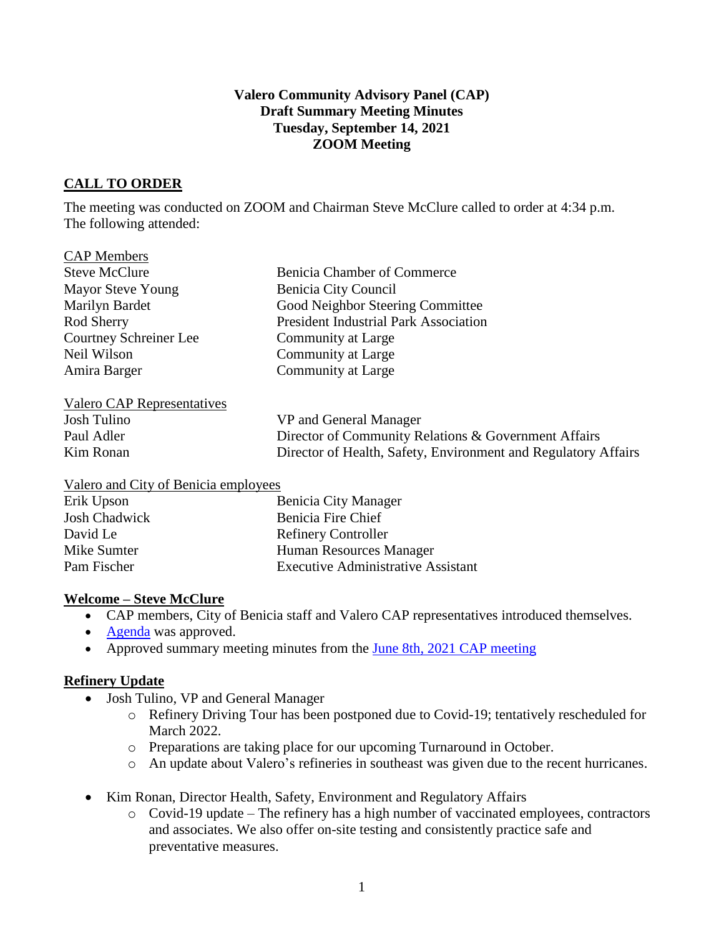### **Valero Community Advisory Panel (CAP) Draft Summary Meeting Minutes Tuesday, September 14, 2021 ZOOM Meeting**

## **CALL TO ORDER**

CAP Members

The meeting was conducted on ZOOM and Chairman Steve McClure called to order at 4:34 p.m. The following attended:

| CLIL DRUHOVID                 |                                              |
|-------------------------------|----------------------------------------------|
| <b>Steve McClure</b>          | <b>Benicia Chamber of Commerce</b>           |
| Mayor Steve Young             | Benicia City Council                         |
| Marilyn Bardet                | Good Neighbor Steering Committee             |
| Rod Sherry                    | <b>President Industrial Park Association</b> |
| <b>Courtney Schreiner Lee</b> | Community at Large                           |
| Neil Wilson                   | Community at Large                           |
| Amira Barger                  | Community at Large                           |
|                               |                                              |
| Valero CAP Representatives    |                                              |
|                               |                                              |

| Josh Tulino | VP and General Manager                                         |
|-------------|----------------------------------------------------------------|
| Paul Adler  | Director of Community Relations & Government Affairs           |
| Kim Ronan   | Director of Health, Safety, Environment and Regulatory Affairs |

#### Valero and City of Benicia employees

| Erik Upson           | <b>Benicia City Manager</b>               |
|----------------------|-------------------------------------------|
| <b>Josh Chadwick</b> | Benicia Fire Chief                        |
| David Le             | <b>Refinery Controller</b>                |
| Mike Sumter          | Human Resources Manager                   |
| Pam Fischer          | <b>Executive Administrative Assistant</b> |

## **Welcome – Steve McClure**

- CAP members, City of Benicia staff and Valero CAP representatives introduced themselves.
- [Agenda](https://e348c262-4b2c-47d9-952b-2d65140aa9a2.filesusr.com/ugd/20ec48_e51809a0bf664eca9bcf7c270ef019e0.pdf) was approved.
- Approved summary meeting minutes from the <u>June 8th, 2021 CAP meeting</u>

#### **Refinery Update**

- Josh Tulino, VP and General Manager
	- o Refinery Driving Tour has been postponed due to Covid-19; tentatively rescheduled for March 2022.
	- o Preparations are taking place for our upcoming Turnaround in October.
	- o An update about Valero's refineries in southeast was given due to the recent hurricanes.
- Kim Ronan, Director Health, Safety, Environment and Regulatory Affairs
	- o Covid-19 update The refinery has a high number of vaccinated employees, contractors and associates. We also offer on-site testing and consistently practice safe and preventative measures.